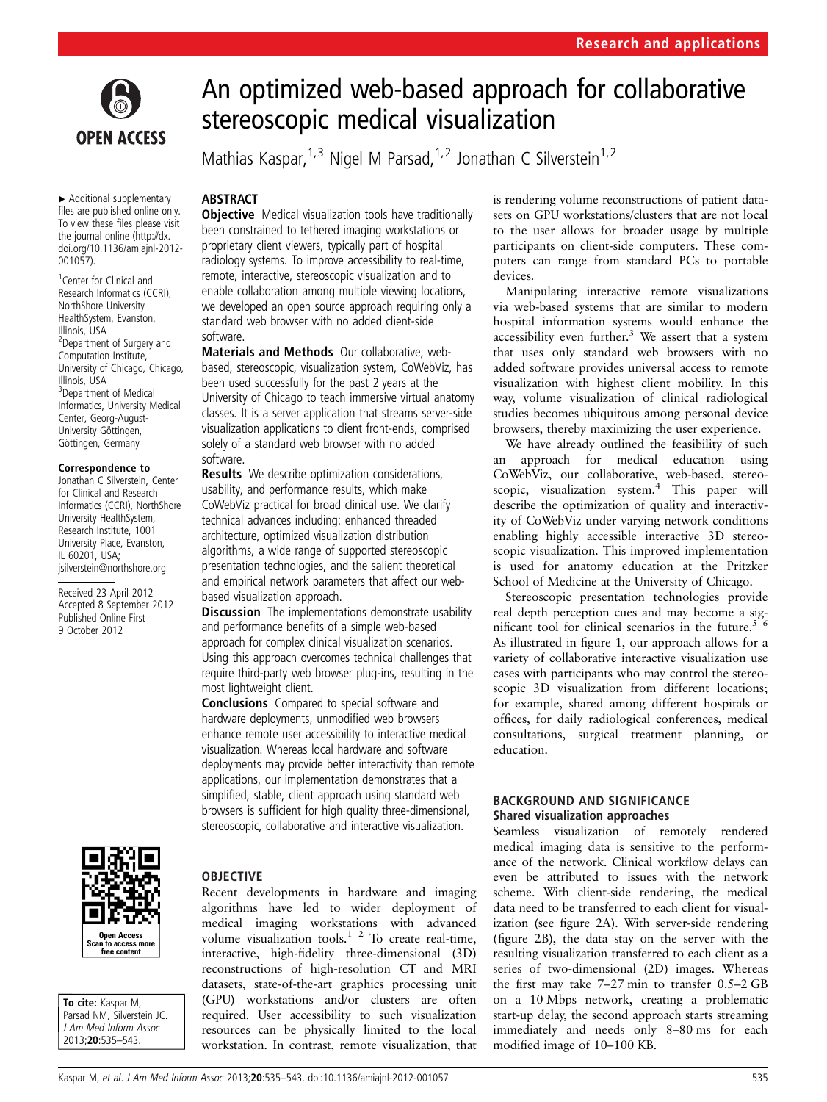

▸ Additional supplementary files are published online only. To view these files please visit the journal online ([http://dx.](http://dx.doi.org/10.1136/amiajnl-2012-001057) [doi.org/10.1136/amiajnl-2012-](http://dx.doi.org/10.1136/amiajnl-2012-001057) [001057](http://dx.doi.org/10.1136/amiajnl-2012-001057)).

<sup>1</sup> Center for Clinical and Research Informatics (CCRI), NorthShore University HealthSystem, Evanston, Illinois, USA <sup>2</sup>Department of Surgery and Computation Institute, University of Chicago, Chicago, Illinois, USA 3 Department of Medical Informatics, University Medical Center, Georg-August-University Göttingen, Göttingen, Germany

#### Correspondence to

Jonathan C Silverstein, Center for Clinical and Research Informatics (CCRI), NorthShore University HealthSystem, Research Institute, 1001 University Place, Evanston, IL 60201, USA; jsilverstein@northshore.org

Received 23 April 2012 Accepted 8 September 2012 Published Online First 9 October 2012



To cite: Kaspar M. Parsad NM, Silverstein JC. J Am Med Inform Assoc 2013;20:535–543.

# An optimized web-based approach for collaborative stereoscopic medical visualization

Mathias Kaspar,  $1,3$  Nigel M Parsad,  $1,2$  Jonathan C Silverstein  $1,2$ 

## **ABSTRACT**

**Objective** Medical visualization tools have traditionally been constrained to tethered imaging workstations or proprietary client viewers, typically part of hospital radiology systems. To improve accessibility to real-time, remote, interactive, stereoscopic visualization and to enable collaboration among multiple viewing locations, we developed an open source approach requiring only a standard web browser with no added client-side software.

Materials and Methods Our collaborative, webbased, stereoscopic, visualization system, CoWebViz, has been used successfully for the past 2 years at the University of Chicago to teach immersive virtual anatomy classes. It is a server application that streams server-side visualization applications to client front-ends, comprised solely of a standard web browser with no added software.

Results We describe optimization considerations, usability, and performance results, which make CoWebViz practical for broad clinical use. We clarify technical advances including: enhanced threaded architecture, optimized visualization distribution algorithms, a wide range of supported stereoscopic presentation technologies, and the salient theoretical and empirical network parameters that affect our webbased visualization approach.

**Discussion** The implementations demonstrate usability and performance benefits of a simple web-based approach for complex clinical visualization scenarios. Using this approach overcomes technical challenges that require third-party web browser plug-ins, resulting in the most lightweight client.

Conclusions Compared to special software and hardware deployments, unmodified web browsers enhance remote user accessibility to interactive medical visualization. Whereas local hardware and software deployments may provide better interactivity than remote applications, our implementation demonstrates that a simplified, stable, client approach using standard web browsers is sufficient for high quality three-dimensional, stereoscopic, collaborative and interactive visualization.

# OBJECTIVE

Recent developments in hardware and imaging algorithms have led to wider deployment of medical imaging workstations with advanced volume visualization tools. $1^2$  To create real-time, interactive, high-fidelity three-dimensional (3D) reconstructions of high-resolution CT and MRI datasets, state-of-the-art graphics processing unit (GPU) workstations and/or clusters are often required. User accessibility to such visualization resources can be physically limited to the local workstation. In contrast, remote visualization, that is rendering volume reconstructions of patient datasets on GPU workstations/clusters that are not local to the user allows for broader usage by multiple participants on client-side computers. These computers can range from standard PCs to portable devices.

Manipulating interactive remote visualizations via web-based systems that are similar to modern hospital information systems would enhance the accessibility even further.<sup>3</sup> We assert that a system that uses only standard web browsers with no added software provides universal access to remote visualization with highest client mobility. In this way, volume visualization of clinical radiological studies becomes ubiquitous among personal device browsers, thereby maximizing the user experience.

We have already outlined the feasibility of such an approach for medical education using CoWebViz, our collaborative, web-based, stereoscopic, visualization system.<sup>4</sup> This paper will describe the optimization of quality and interactivity of CoWebViz under varying network conditions enabling highly accessible interactive 3D stereoscopic visualization. This improved implementation is used for anatomy education at the Pritzker School of Medicine at the University of Chicago.

Stereoscopic presentation technologies provide real depth perception cues and may become a significant tool for clinical scenarios in the future.<sup>5 6</sup> As illustrated in figure 1, our approach allows for a variety of collaborative interactive visualization use cases with participants who may control the stereoscopic 3D visualization from different locations; for example, shared among different hospitals or offices, for daily radiological conferences, medical consultations, surgical treatment planning, or education.

## BACKGROUND AND SIGNIFICANCE Shared visualization approaches

Seamless visualization of remotely rendered medical imaging data is sensitive to the performance of the network. Clinical workflow delays can even be attributed to issues with the network scheme. With client-side rendering, the medical data need to be transferred to each client for visualization (see figure 2A). With server-side rendering (figure 2B), the data stay on the server with the resulting visualization transferred to each client as a series of two-dimensional (2D) images. Whereas the first may take 7–27 min to transfer 0.5–2 GB on a 10 Mbps network, creating a problematic start-up delay, the second approach starts streaming immediately and needs only 8–80 ms for each modified image of 10–100 KB.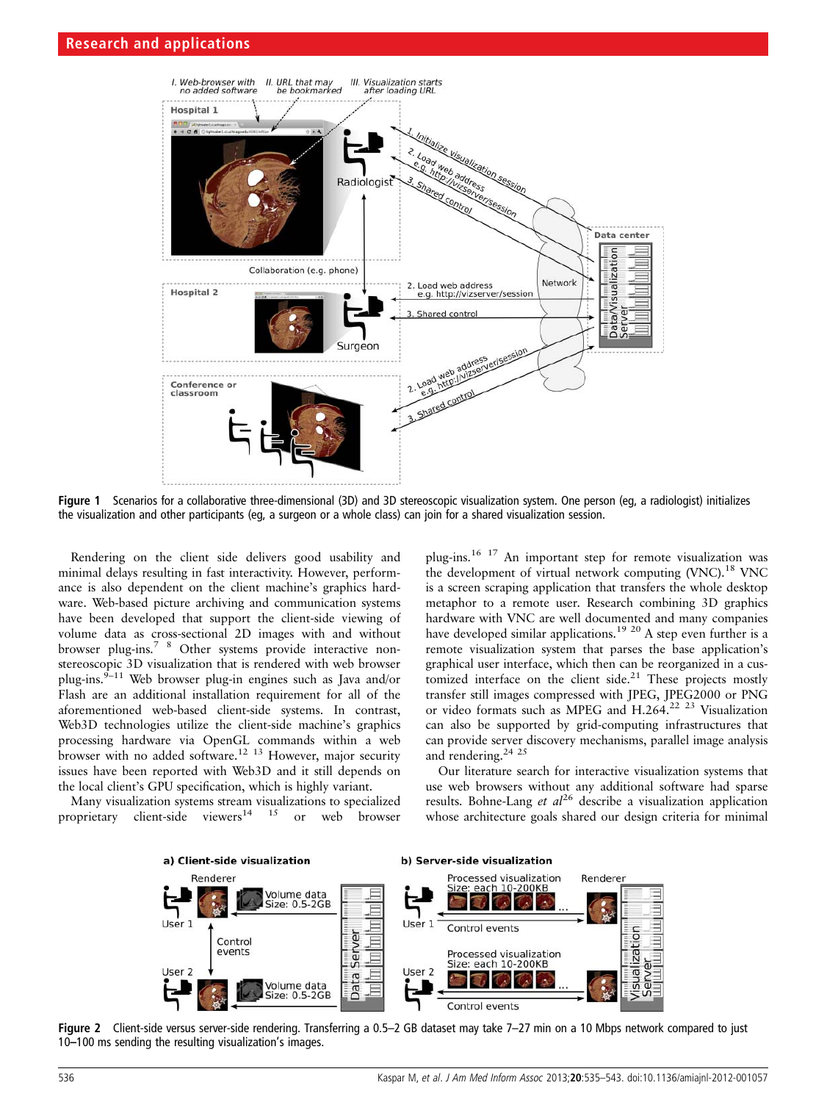

Figure 1 Scenarios for a collaborative three-dimensional (3D) and 3D stereoscopic visualization system. One person (eg, a radiologist) initializes the visualization and other participants (eg, a surgeon or a whole class) can join for a shared visualization session.

Rendering on the client side delivers good usability and minimal delays resulting in fast interactivity. However, performance is also dependent on the client machine's graphics hardware. Web-based picture archiving and communication systems have been developed that support the client-side viewing of volume data as cross-sectional 2D images with and without browser plug-ins.7 8 Other systems provide interactive nonstereoscopic 3D visualization that is rendered with web browser plug-ins.<sup>9–11</sup> Web browser plug-in engines such as Java and/or Flash are an additional installation requirement for all of the aforementioned web-based client-side systems. In contrast, Web3D technologies utilize the client-side machine's graphics processing hardware via OpenGL commands within a web browser with no added software.12 13 However, major security issues have been reported with Web3D and it still depends on the local client's GPU specification, which is highly variant.

Many visualization systems stream visualizations to specialized proprietary client-side viewers<sup>14</sup> <sup>15</sup> or web browser

plug-ins.16 17 An important step for remote visualization was the development of virtual network computing  $(NNC)$ <sup>18</sup> VNC is a screen scraping application that transfers the whole desktop metaphor to a remote user. Research combining 3D graphics hardware with VNC are well documented and many companies have developed similar applications.<sup>19 20</sup> A step even further is a remote visualization system that parses the base application's graphical user interface, which then can be reorganized in a customized interface on the client side.<sup>21</sup> These projects mostly transfer still images compressed with JPEG, JPEG2000 or PNG or video formats such as MPEG and H.264.22 23 Visualization can also be supported by grid-computing infrastructures that can provide server discovery mechanisms, parallel image analysis and rendering.<sup>24 25</sup>

Our literature search for interactive visualization systems that use web browsers without any additional software had sparse results. Bohne-Lang et  $al^{26}$  describe a visualization application whose architecture goals shared our design criteria for minimal



Figure 2 Client-side versus server-side rendering. Transferring a 0.5–2 GB dataset may take 7–27 min on a 10 Mbps network compared to just 10–100 ms sending the resulting visualization's images.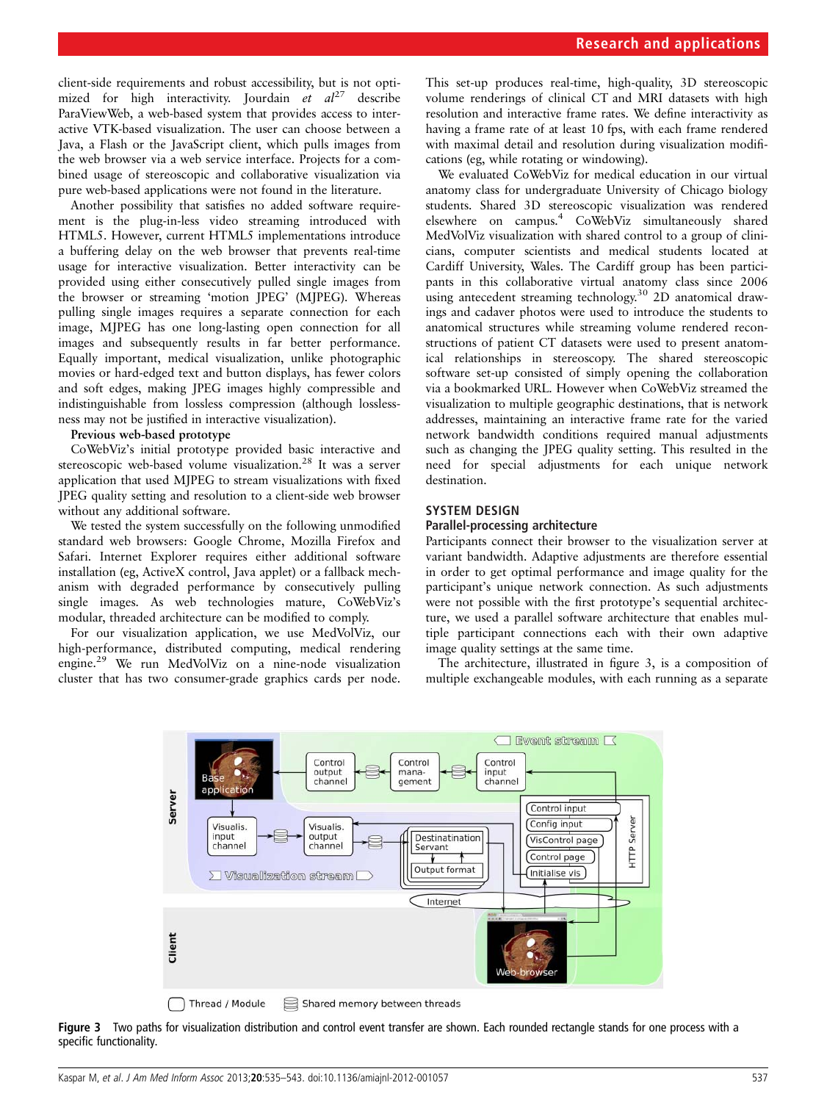client-side requirements and robust accessibility, but is not optimized for high interactivity. Jourdain et  $al^{27}$  describe ParaViewWeb, a web-based system that provides access to interactive VTK-based visualization. The user can choose between a Java, a Flash or the JavaScript client, which pulls images from the web browser via a web service interface. Projects for a combined usage of stereoscopic and collaborative visualization via pure web-based applications were not found in the literature.

Another possibility that satisfies no added software requirement is the plug-in-less video streaming introduced with HTML5. However, current HTML5 implementations introduce a buffering delay on the web browser that prevents real-time usage for interactive visualization. Better interactivity can be provided using either consecutively pulled single images from the browser or streaming 'motion JPEG' (MJPEG). Whereas pulling single images requires a separate connection for each image, MJPEG has one long-lasting open connection for all images and subsequently results in far better performance. Equally important, medical visualization, unlike photographic movies or hard-edged text and button displays, has fewer colors and soft edges, making JPEG images highly compressible and indistinguishable from lossless compression (although losslessness may not be justified in interactive visualization).

#### Previous web-based prototype

CoWebViz's initial prototype provided basic interactive and stereoscopic web-based volume visualization.<sup>28</sup> It was a server application that used MJPEG to stream visualizations with fixed JPEG quality setting and resolution to a client-side web browser without any additional software.

We tested the system successfully on the following unmodified standard web browsers: Google Chrome, Mozilla Firefox and Safari. Internet Explorer requires either additional software installation (eg, ActiveX control, Java applet) or a fallback mechanism with degraded performance by consecutively pulling single images. As web technologies mature, CoWebViz's modular, threaded architecture can be modified to comply.

For our visualization application, we use MedVolViz, our high-performance, distributed computing, medical rendering engine.29 We run MedVolViz on a nine-node visualization cluster that has two consumer-grade graphics cards per node.

This set-up produces real-time, high-quality, 3D stereoscopic volume renderings of clinical CT and MRI datasets with high resolution and interactive frame rates. We define interactivity as having a frame rate of at least 10 fps, with each frame rendered with maximal detail and resolution during visualization modifications (eg, while rotating or windowing).

We evaluated CoWebViz for medical education in our virtual anatomy class for undergraduate University of Chicago biology students. Shared 3D stereoscopic visualization was rendered elsewhere on campus.4 CoWebViz simultaneously shared MedVolViz visualization with shared control to a group of clinicians, computer scientists and medical students located at Cardiff University, Wales. The Cardiff group has been participants in this collaborative virtual anatomy class since 2006 using antecedent streaming technology.<sup>30</sup> 2D anatomical drawings and cadaver photos were used to introduce the students to anatomical structures while streaming volume rendered reconstructions of patient CT datasets were used to present anatomical relationships in stereoscopy. The shared stereoscopic software set-up consisted of simply opening the collaboration via a bookmarked URL. However when CoWebViz streamed the visualization to multiple geographic destinations, that is network addresses, maintaining an interactive frame rate for the varied network bandwidth conditions required manual adjustments such as changing the JPEG quality setting. This resulted in the need for special adjustments for each unique network destination.

## SYSTEM DESIGN

#### Parallel-processing architecture

Participants connect their browser to the visualization server at variant bandwidth. Adaptive adjustments are therefore essential in order to get optimal performance and image quality for the participant's unique network connection. As such adjustments were not possible with the first prototype's sequential architecture, we used a parallel software architecture that enables multiple participant connections each with their own adaptive image quality settings at the same time.

The architecture, illustrated in figure 3, is a composition of multiple exchangeable modules, with each running as a separate



Thread / Module Shared memory between threads  $\Box$ 

Figure 3 Two paths for visualization distribution and control event transfer are shown. Each rounded rectangle stands for one process with a specific functionality.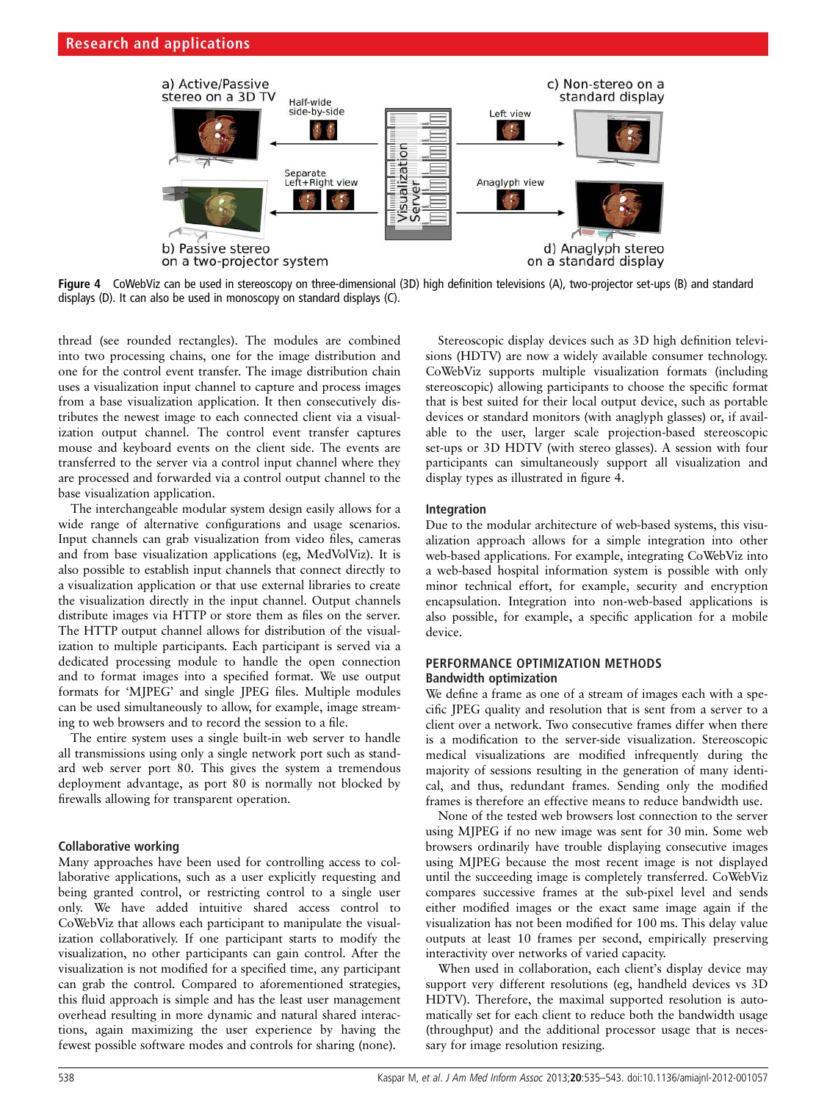

Fiqure 4 CoWebViz can be used in stereoscopy on three-dimensional (3D) high definition televisions (A), two-projector set-ups (B) and standard displays (D). It can also be used in monoscopy on standard displays (C).

thread (see rounded rectangles). The modules are combined into two processing chains, one for the image distribution and one for the control event transfer. The image distribution chain uses a visualization input channel to capture and process images from a base visualization application. It then consecutively distributes the newest image to each connected client via a visualization output channel. The control event transfer captures mouse and keyboard events on the client side. The events are transferred to the server via a control input channel where they are processed and forwarded via a control output channel to the base visualization application.

The interchangeable modular system design easily allows for a wide range of alternative configurations and usage scenarios. Input channels can grab visualization from video files, cameras and from base visualization applications (eg, MedVolViz). It is also possible to establish input channels that connect directly to a visualization application or that use external libraries to create the visualization directly in the input channel. Output channels distribute images via HTTP or store them as files on the server. The HTTP output channel allows for distribution of the visualization to multiple participants. Each participant is served via a dedicated processing module to handle the open connection and to format images into a specified format. We use output formats for 'MJPEG' and single JPEG files. Multiple modules can be used simultaneously to allow, for example, image streaming to web browsers and to record the session to a file.

The entire system uses a single built-in web server to handle all transmissions using only a single network port such as standard web server port 80. This gives the system a tremendous deployment advantage, as port 80 is normally not blocked by firewalls allowing for transparent operation.

#### Collaborative working

Many approaches have been used for controlling access to collaborative applications, such as a user explicitly requesting and being granted control, or restricting control to a single user only. We have added intuitive shared access control to CoWebViz that allows each participant to manipulate the visualization collaboratively. If one participant starts to modify the visualization, no other participants can gain control. After the visualization is not modified for a specified time, any participant can grab the control. Compared to aforementioned strategies, this fluid approach is simple and has the least user management overhead resulting in more dynamic and natural shared interactions, again maximizing the user experience by having the fewest possible software modes and controls for sharing (none).

Stereoscopic display devices such as 3D high definition televisions (HDTV) are now a widely available consumer technology. CoWebViz supports multiple visualization formats (including stereoscopic) allowing participants to choose the specific format that is best suited for their local output device, such as portable devices or standard monitors (with anaglyph glasses) or, if available to the user, larger scale projection-based stereoscopic set-ups or 3D HDTV (with stereo glasses). A session with four participants can simultaneously support all visualization and display types as illustrated in figure 4.

## Integration

Due to the modular architecture of web-based systems, this visualization approach allows for a simple integration into other web-based applications. For example, integrating CoWebViz into a web-based hospital information system is possible with only minor technical effort, for example, security and encryption encapsulation. Integration into non-web-based applications is also possible, for example, a specific application for a mobile device.

## PERFORMANCE OPTIMIZATION METHODS Bandwidth optimization

We define a frame as one of a stream of images each with a specific JPEG quality and resolution that is sent from a server to a client over a network. Two consecutive frames differ when there is a modification to the server-side visualization. Stereoscopic medical visualizations are modified infrequently during the majority of sessions resulting in the generation of many identical, and thus, redundant frames. Sending only the modified frames is therefore an effective means to reduce bandwidth use.

None of the tested web browsers lost connection to the server using MJPEG if no new image was sent for 30 min. Some web browsers ordinarily have trouble displaying consecutive images using MJPEG because the most recent image is not displayed until the succeeding image is completely transferred. CoWebViz compares successive frames at the sub-pixel level and sends either modified images or the exact same image again if the visualization has not been modified for 100 ms. This delay value outputs at least 10 frames per second, empirically preserving interactivity over networks of varied capacity.

When used in collaboration, each client's display device may support very different resolutions (eg, handheld devices vs 3D HDTV). Therefore, the maximal supported resolution is automatically set for each client to reduce both the bandwidth usage (throughput) and the additional processor usage that is necessary for image resolution resizing.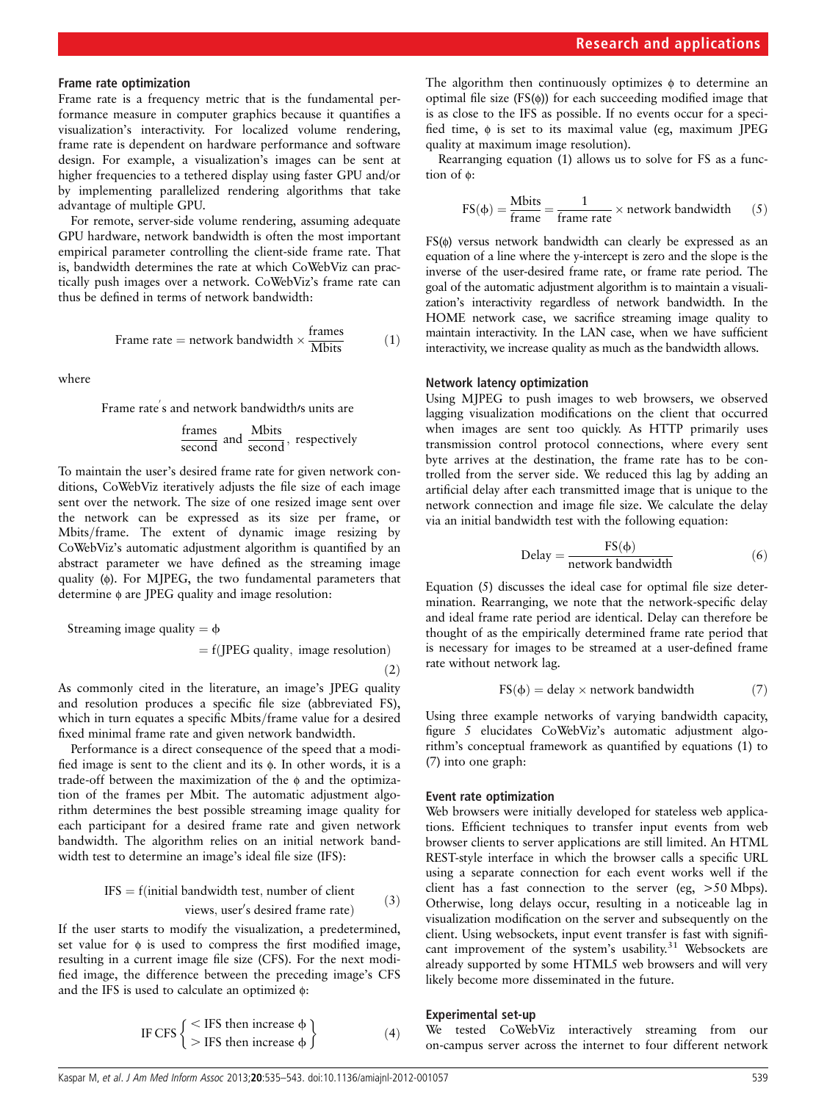#### Frame rate optimization

Frame rate is a frequency metric that is the fundamental performance measure in computer graphics because it quantifies a visualization's interactivity. For localized volume rendering, frame rate is dependent on hardware performance and software design. For example, a visualization's images can be sent at higher frequencies to a tethered display using faster GPU and/or by implementing parallelized rendering algorithms that take advantage of multiple GPU.

For remote, server-side volume rendering, assuming adequate GPU hardware, network bandwidth is often the most important empirical parameter controlling the client-side frame rate. That is, bandwidth determines the rate at which CoWebViz can practically push images over a network. CoWebViz's frame rate can thus be defined in terms of network bandwidth:

Frame rate = network bandwidth 
$$
\times \frac{\text{frames}}{\text{Mbits}}
$$
 (1)

where

Frame rate's and network bandwidth/s units are

$$
\frac{\text{frames}}{\text{second}} \text{ and } \frac{\text{Mbits}}{\text{second}}, \text{ respectively}
$$

To maintain the user's desired frame rate for given network conditions, CoWebViz iteratively adjusts the file size of each image sent over the network. The size of one resized image sent over the network can be expressed as its size per frame, or Mbits/frame. The extent of dynamic image resizing by CoWebViz's automatic adjustment algorithm is quantified by an abstract parameter we have defined as the streaming image quality (ϕ). For MJPEG, the two fundamental parameters that determine ϕ are JPEG quality and image resolution:

$$
Streaming image quality = \phi
$$

$$
= f(JPEG\ quality,\ image\ resolution)
$$

 $(2)$ 

As commonly cited in the literature, an image's JPEG quality and resolution produces a specific file size (abbreviated FS), which in turn equates a specific Mbits/frame value for a desired fixed minimal frame rate and given network bandwidth.

Performance is a direct consequence of the speed that a modified image is sent to the client and its ϕ. In other words, it is a trade-off between the maximization of the ϕ and the optimization of the frames per Mbit. The automatic adjustment algorithm determines the best possible streaming image quality for each participant for a desired frame rate and given network bandwidth. The algorithm relies on an initial network bandwidth test to determine an image's ideal file size (IFS):

$$
IFS = f(\text{initial bandwidth test}, \text{number of client} \text{views}, \text{user's desired frame rate})
$$
(3)

If the user starts to modify the visualization, a predetermined, set value for  $\phi$  is used to compress the first modified image, resulting in a current image file size (CFS). For the next modified image, the difference between the preceding image's CFS and the IFS is used to calculate an optimized ϕ:

IF CFS 
$$
\left\{\begin{aligned} < \text{IFS then increase } \phi \\ > \text{IFS then increase } \phi \end{aligned}\right\}
$$
 (4)

The algorithm then continuously optimizes  $\phi$  to determine an optimal file size  $(FS(\phi))$  for each succeeding modified image that is as close to the IFS as possible. If no events occur for a specified time,  $\phi$  is set to its maximal value (eg, maximum JPEG quality at maximum image resolution).

Rearranging equation (1) allows us to solve for FS as a function of ϕ:

$$
FS(\phi) = \frac{Mbits}{frame} = \frac{1}{frame rate} \times network bandwidth
$$
 (5)

FS(ϕ) versus network bandwidth can clearly be expressed as an equation of a line where the y-intercept is zero and the slope is the inverse of the user-desired frame rate, or frame rate period. The goal of the automatic adjustment algorithm is to maintain a visualization's interactivity regardless of network bandwidth. In the HOME network case, we sacrifice streaming image quality to maintain interactivity. In the LAN case, when we have sufficient interactivity, we increase quality as much as the bandwidth allows.

#### Network latency optimization

Using MJPEG to push images to web browsers, we observed lagging visualization modifications on the client that occurred when images are sent too quickly. As HTTP primarily uses transmission control protocol connections, where every sent byte arrives at the destination, the frame rate has to be controlled from the server side. We reduced this lag by adding an artificial delay after each transmitted image that is unique to the network connection and image file size. We calculate the delay via an initial bandwidth test with the following equation:

$$
Delay = \frac{FS(\phi)}{network\ bandwidth}
$$
 (6)

Equation (5) discusses the ideal case for optimal file size determination. Rearranging, we note that the network-specific delay and ideal frame rate period are identical. Delay can therefore be thought of as the empirically determined frame rate period that is necessary for images to be streamed at a user-defined frame rate without network lag.

$$
FS(\phi) = delay \times network bandwidth \tag{7}
$$

Using three example networks of varying bandwidth capacity, figure 5 elucidates CoWebViz's automatic adjustment algorithm's conceptual framework as quantified by equations (1) to (7) into one graph:

#### Event rate optimization

Web browsers were initially developed for stateless web applications. Efficient techniques to transfer input events from web browser clients to server applications are still limited. An HTML REST-style interface in which the browser calls a specific URL using a separate connection for each event works well if the client has a fast connection to the server (eg, >50 Mbps). Otherwise, long delays occur, resulting in a noticeable lag in visualization modification on the server and subsequently on the client. Using websockets, input event transfer is fast with significant improvement of the system's usability.<sup>31</sup> Websockets are already supported by some HTML5 web browsers and will very likely become more disseminated in the future.

## Experimental set-up

We tested CoWebViz interactively streaming from our on-campus server across the internet to four different network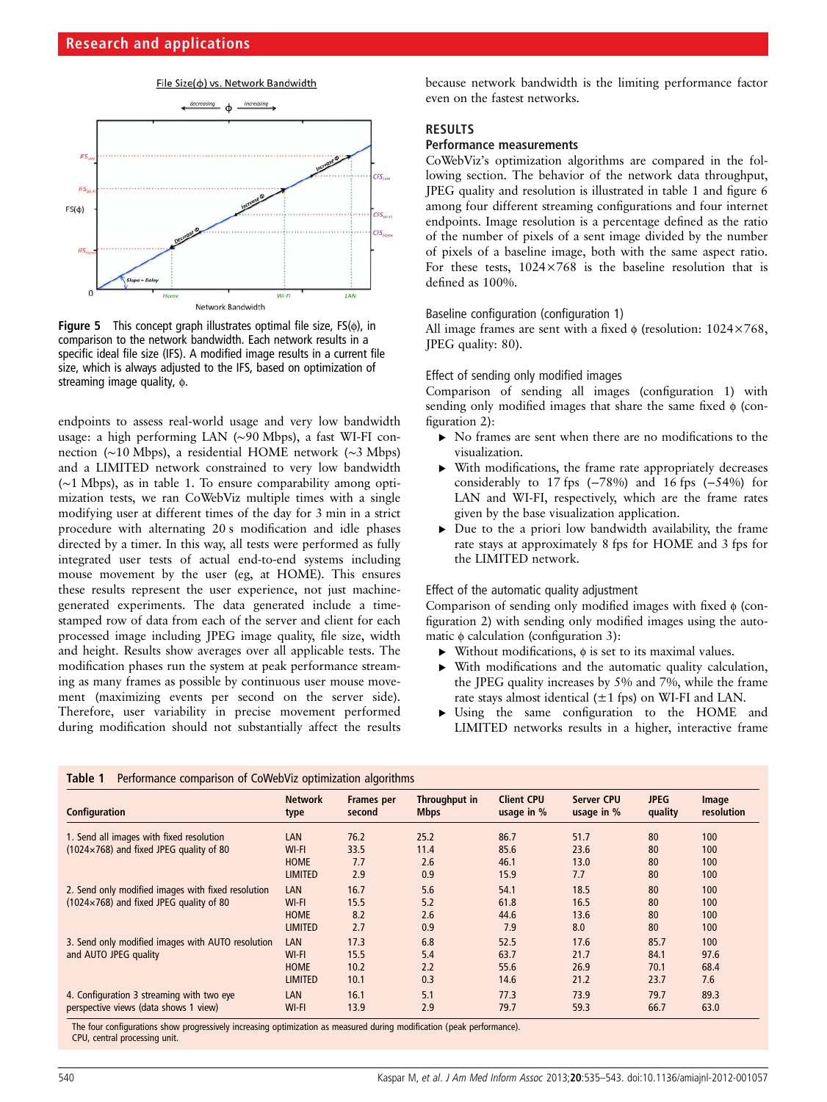

**Figure 5** This concept graph illustrates optimal file size,  $FS(\phi)$ , in comparison to the network bandwidth. Each network results in a specific ideal file size (IFS). A modified image results in a current file size, which is always adjusted to the IFS, based on optimization of streaming image quality, φ.

endpoints to assess real-world usage and very low bandwidth usage: a high performing LAN (∼90 Mbps), a fast WI-FI connection (∼10 Mbps), a residential HOME network (∼3 Mbps) and a LIMITED network constrained to very low bandwidth (∼1 Mbps), as in table 1. To ensure comparability among optimization tests, we ran CoWebViz multiple times with a single modifying user at different times of the day for 3 min in a strict procedure with alternating 20 s modification and idle phases directed by a timer. In this way, all tests were performed as fully integrated user tests of actual end-to-end systems including mouse movement by the user (eg, at HOME). This ensures these results represent the user experience, not just machinegenerated experiments. The data generated include a timestamped row of data from each of the server and client for each processed image including JPEG image quality, file size, width and height. Results show averages over all applicable tests. The modification phases run the system at peak performance streaming as many frames as possible by continuous user mouse movement (maximizing events per second on the server side). Therefore, user variability in precise movement performed during modification should not substantially affect the results because network bandwidth is the limiting performance factor even on the fastest networks.

# **RESULTS**

# Performance measurements

CoWebViz's optimization algorithms are compared in the following section. The behavior of the network data throughput, JPEG quality and resolution is illustrated in table 1 and figure 6 among four different streaming configurations and four internet endpoints. Image resolution is a percentage defined as the ratio of the number of pixels of a sent image divided by the number of pixels of a baseline image, both with the same aspect ratio. For these tests,  $1024\times768$  is the baseline resolution that is defined as 100%.

## Baseline configuration (configuration 1)

All image frames are sent with a fixed  $\phi$  (resolution: 1024×768, JPEG quality: 80).

# Effect of sending only modified images

Comparison of sending all images (configuration 1) with sending only modified images that share the same fixed  $\phi$  (configuration 2):

- ▶ No frames are sent when there are no modifications to the visualization.
- With modifications, the frame rate appropriately decreases considerably to 17 fps (−78%) and 16 fps (−54%) for LAN and WI-FI, respectively, which are the frame rates given by the base visualization application.
- $\triangleright$  Due to the a priori low bandwidth availability, the frame rate stays at approximately 8 fps for HOME and 3 fps for the LIMITED network.

#### Effect of the automatic quality adjustment

Comparison of sending only modified images with fixed ϕ (configuration 2) with sending only modified images using the automatic  $\phi$  calculation (configuration 3):

- ▸ Without modifications, ϕ is set to its maximal values.
- With modifications and the automatic quality calculation, the JPEG quality increases by 5% and 7%, while the frame rate stays almost identical  $(\pm 1$  fps) on WI-FI and LAN.
- ▸ Using the same configuration to the HOME and LIMITED networks results in a higher, interactive frame

| Configuration                                                              | <b>Network</b><br>type | <b>Frames per</b><br>second | Throughput in<br><b>Mbps</b> | <b>Client CPU</b><br>usage in % | Server CPU<br>usage in $%$ | <b>JPEG</b><br>quality | Image<br>resolution |
|----------------------------------------------------------------------------|------------------------|-----------------------------|------------------------------|---------------------------------|----------------------------|------------------------|---------------------|
| 1. Send all images with fixed resolution                                   | LAN                    | 76.2                        | 25.2                         | 86.7                            | 51.7                       | 80                     | 100                 |
| $(1024\times768)$ and fixed JPEG quality of 80                             | WI-FI                  | 33.5                        | 11.4                         | 85.6                            | 23.6                       | 80                     | 100                 |
|                                                                            | <b>HOME</b>            | 7.7                         | 2.6                          | 46.1                            | 13.0                       | 80                     | 100                 |
|                                                                            | <b>LIMITED</b>         | 2.9                         | 0.9                          | 15.9                            | 7.7                        | 80                     | 100                 |
| 2. Send only modified images with fixed resolution                         | LAN                    | 16.7                        | 5.6                          | 54.1                            | 18.5                       | 80                     | 100                 |
| $(1024\times768)$ and fixed JPEG quality of 80                             | WI-FI                  | 15.5                        | 5.2                          | 61.8                            | 16.5                       | 80                     | 100                 |
|                                                                            | HOME                   | 8.2                         | 2.6                          | 44.6                            | 13.6                       | 80                     | 100                 |
|                                                                            | <b>LIMITED</b>         | 2.7                         | 0.9                          | 7.9                             | 8.0                        | 80                     | 100                 |
| 3. Send only modified images with AUTO resolution<br>and AUTO JPEG quality | LAN                    | 17.3                        | 6.8                          | 52.5                            | 17.6                       | 85.7                   | 100                 |
|                                                                            | WI-FI                  | 15.5                        | 5.4                          | 63.7                            | 21.7                       | 84.1                   | 97.6                |
|                                                                            | <b>HOME</b>            | 10.2                        | 2.2                          | 55.6                            | 26.9                       | 70.1                   | 68.4                |
|                                                                            | <b>LIMITED</b>         | 10.1                        | 0.3                          | 14.6                            | 21.2                       | 23.7                   | 7.6                 |
| 4. Configuration 3 streaming with two eye                                  | LAN                    | 16.1                        | 5.1                          | 77.3                            | 73.9                       | 79.7                   | 89.3                |
| perspective views (data shows 1 view)                                      | WI-FI                  | 13.9                        | 2.9                          | 79.7                            | 59.3                       | 66.7                   | 63.0                |

The four configurations show progressively increasing optimization as measured during modification (peak performance). CPU, central processing unit.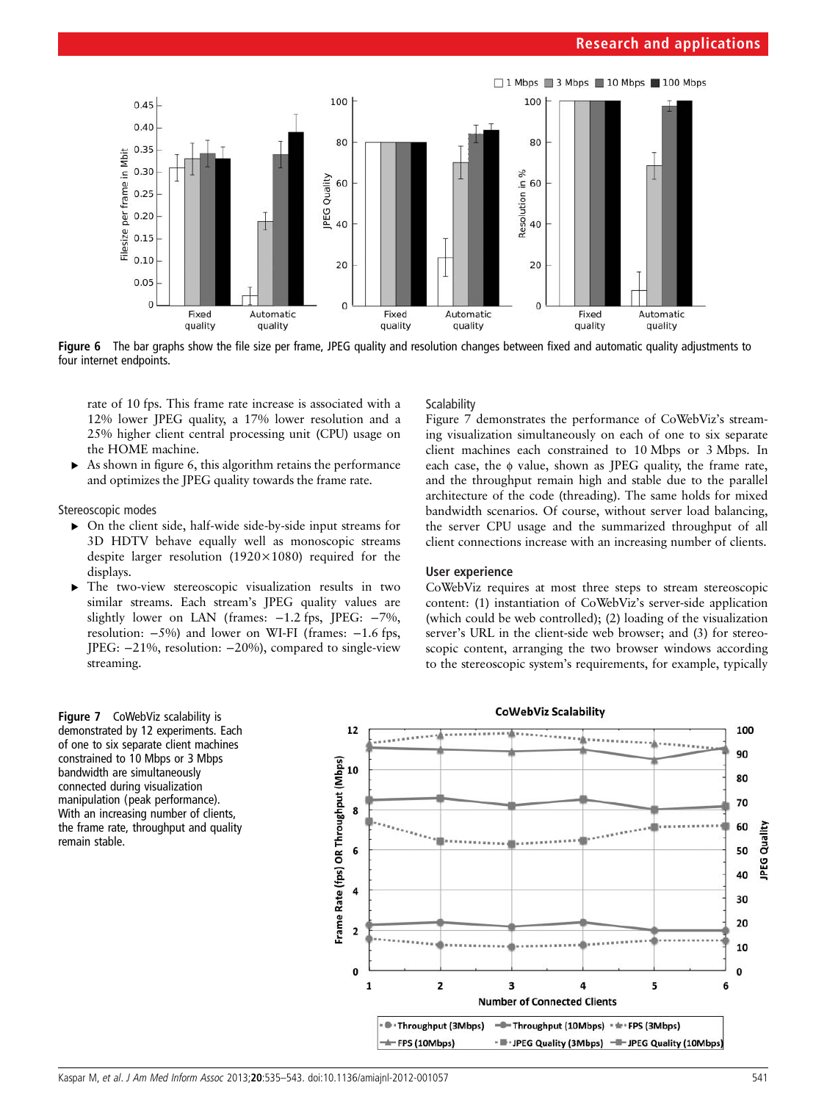

Figure 6 The bar graphs show the file size per frame. JPEG quality and resolution changes between fixed and automatic quality adjustments to four internet endpoints.

rate of 10 fps. This frame rate increase is associated with a 12% lower JPEG quality, a 17% lower resolution and a 25% higher client central processing unit (CPU) usage on the HOME machine.

As shown in figure 6, this algorithm retains the performance and optimizes the JPEG quality towards the frame rate.

Stereoscopic modes

- ▸ On the client side, half-wide side-by-side input streams for 3D HDTV behave equally well as monoscopic streams despite larger resolution  $(1920\times1080)$  required for the displays.
- ▸ The two-view stereoscopic visualization results in two similar streams. Each stream's JPEG quality values are slightly lower on LAN (frames: −1.2 fps, JPEG: −7%, resolution: −5%) and lower on WI-FI (frames: −1.6 fps, JPEG: −21%, resolution: −20%), compared to single-view streaming.

## **Scalability**

Figure 7 demonstrates the performance of CoWebViz's streaming visualization simultaneously on each of one to six separate client machines each constrained to 10 Mbps or 3 Mbps. In each case, the ϕ value, shown as JPEG quality, the frame rate, and the throughput remain high and stable due to the parallel architecture of the code (threading). The same holds for mixed bandwidth scenarios. Of course, without server load balancing, the server CPU usage and the summarized throughput of all client connections increase with an increasing number of clients.

# User experience

CoWebViz requires at most three steps to stream stereoscopic content: (1) instantiation of CoWebViz's server-side application (which could be web controlled); (2) loading of the visualization server's URL in the client-side web browser; and (3) for stereoscopic content, arranging the two browser windows according to the stereoscopic system's requirements, for example, typically



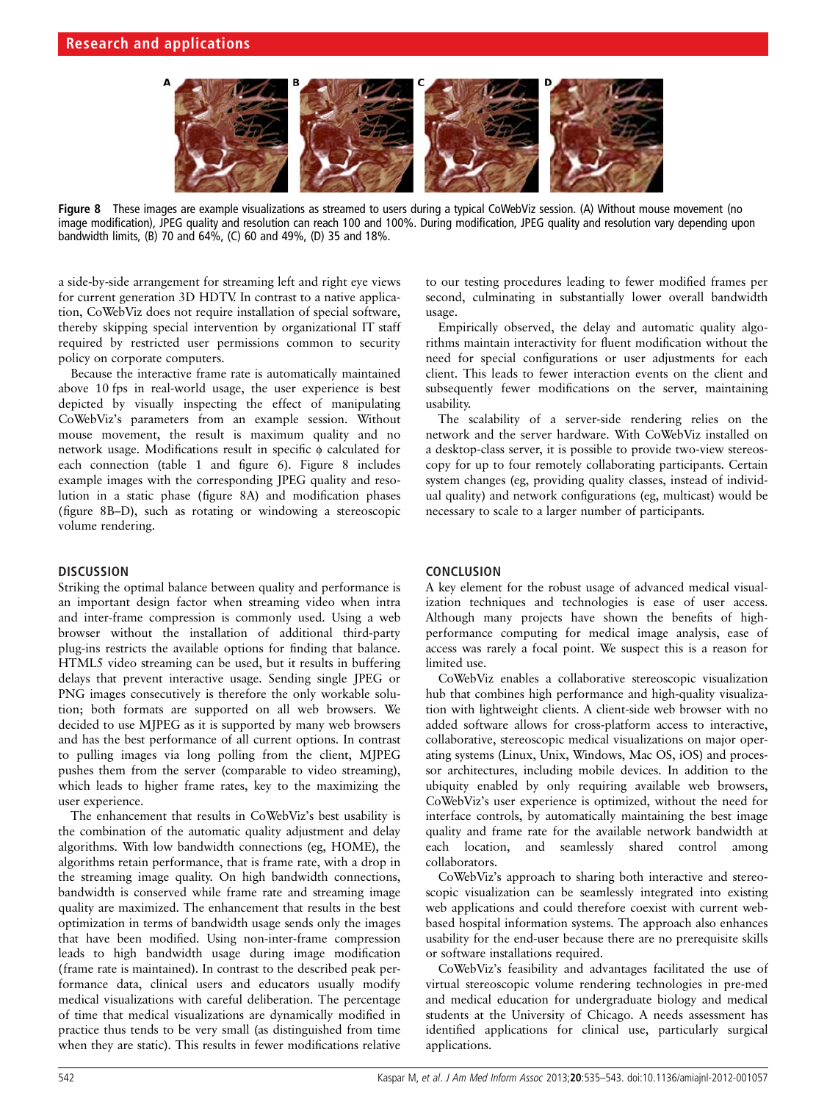

Figure 8 These images are example visualizations as streamed to users during a typical CoWebViz session. (A) Without mouse movement (no image modification), JPEG quality and resolution can reach 100 and 100%. During modification, JPEG quality and resolution vary depending upon bandwidth limits, (B) 70 and 64%, (C) 60 and 49%, (D) 35 and 18%.

a side-by-side arrangement for streaming left and right eye views for current generation 3D HDTV. In contrast to a native application, CoWebViz does not require installation of special software, thereby skipping special intervention by organizational IT staff required by restricted user permissions common to security policy on corporate computers.

Because the interactive frame rate is automatically maintained above 10 fps in real-world usage, the user experience is best depicted by visually inspecting the effect of manipulating CoWebViz's parameters from an example session. Without mouse movement, the result is maximum quality and no network usage. Modifications result in specific ϕ calculated for each connection (table 1 and figure 6). Figure 8 includes example images with the corresponding JPEG quality and resolution in a static phase (figure 8A) and modification phases (figure 8B–D), such as rotating or windowing a stereoscopic volume rendering.

# **DISCUSSION**

Striking the optimal balance between quality and performance is an important design factor when streaming video when intra and inter-frame compression is commonly used. Using a web browser without the installation of additional third-party plug-ins restricts the available options for finding that balance. HTML5 video streaming can be used, but it results in buffering delays that prevent interactive usage. Sending single JPEG or PNG images consecutively is therefore the only workable solution; both formats are supported on all web browsers. We decided to use MJPEG as it is supported by many web browsers and has the best performance of all current options. In contrast to pulling images via long polling from the client, MJPEG pushes them from the server (comparable to video streaming), which leads to higher frame rates, key to the maximizing the user experience.

The enhancement that results in CoWebViz's best usability is the combination of the automatic quality adjustment and delay algorithms. With low bandwidth connections (eg, HOME), the algorithms retain performance, that is frame rate, with a drop in the streaming image quality. On high bandwidth connections, bandwidth is conserved while frame rate and streaming image quality are maximized. The enhancement that results in the best optimization in terms of bandwidth usage sends only the images that have been modified. Using non-inter-frame compression leads to high bandwidth usage during image modification (frame rate is maintained). In contrast to the described peak performance data, clinical users and educators usually modify medical visualizations with careful deliberation. The percentage of time that medical visualizations are dynamically modified in practice thus tends to be very small (as distinguished from time when they are static). This results in fewer modifications relative

to our testing procedures leading to fewer modified frames per second, culminating in substantially lower overall bandwidth usage.

Empirically observed, the delay and automatic quality algorithms maintain interactivity for fluent modification without the need for special configurations or user adjustments for each client. This leads to fewer interaction events on the client and subsequently fewer modifications on the server, maintaining usability.

The scalability of a server-side rendering relies on the network and the server hardware. With CoWebViz installed on a desktop-class server, it is possible to provide two-view stereoscopy for up to four remotely collaborating participants. Certain system changes (eg, providing quality classes, instead of individual quality) and network configurations (eg, multicast) would be necessary to scale to a larger number of participants.

# **CONCLUSION**

A key element for the robust usage of advanced medical visualization techniques and technologies is ease of user access. Although many projects have shown the benefits of highperformance computing for medical image analysis, ease of access was rarely a focal point. We suspect this is a reason for limited use.

CoWebViz enables a collaborative stereoscopic visualization hub that combines high performance and high-quality visualization with lightweight clients. A client-side web browser with no added software allows for cross-platform access to interactive, collaborative, stereoscopic medical visualizations on major operating systems (Linux, Unix, Windows, Mac OS, iOS) and processor architectures, including mobile devices. In addition to the ubiquity enabled by only requiring available web browsers, CoWebViz's user experience is optimized, without the need for interface controls, by automatically maintaining the best image quality and frame rate for the available network bandwidth at each location, and seamlessly shared control among collaborators.

CoWebViz's approach to sharing both interactive and stereoscopic visualization can be seamlessly integrated into existing web applications and could therefore coexist with current webbased hospital information systems. The approach also enhances usability for the end-user because there are no prerequisite skills or software installations required.

CoWebViz's feasibility and advantages facilitated the use of virtual stereoscopic volume rendering technologies in pre-med and medical education for undergraduate biology and medical students at the University of Chicago. A needs assessment has identified applications for clinical use, particularly surgical applications.